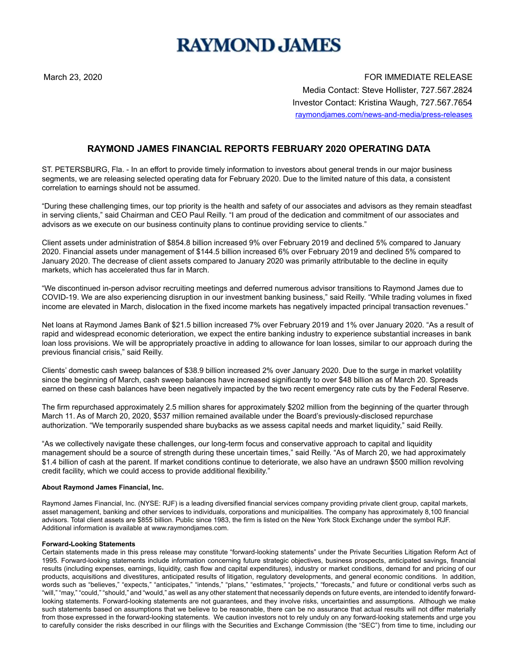# **RAYMOND JAMES**

March 23, 2020 **FOR IMMEDIATE RELEASE** Media Contact: Steve Hollister, 727.567.2824 Investor Contact: Kristina Waugh, 727.567.7654 raymondjames.com/news-and-media/press-releases

## **RAYMOND JAMES FINANCIAL REPORTS FEBRUARY 2020 OPERATING DATA**

ST. PETERSBURG, Fla. - In an effort to provide timely information to investors about general trends in our major business segments, we are releasing selected operating data for February 2020. Due to the limited nature of this data, a consistent correlation to earnings should not be assumed.

"During these challenging times, our top priority is the health and safety of our associates and advisors as they remain steadfast in serving clients," said Chairman and CEO Paul Reilly. "I am proud of the dedication and commitment of our associates and advisors as we execute on our business continuity plans to continue providing service to clients."

Client assets under administration of \$854.8 billion increased 9% over February 2019 and declined 5% compared to January 2020. Financial assets under management of \$144.5 billion increased 6% over February 2019 and declined 5% compared to January 2020. The decrease of client assets compared to January 2020 was primarily attributable to the decline in equity markets, which has accelerated thus far in March.

"We discontinued in-person advisor recruiting meetings and deferred numerous advisor transitions to Raymond James due to COVID-19. We are also experiencing disruption in our investment banking business," said Reilly. "While trading volumes in fixed income are elevated in March, dislocation in the fixed income markets has negatively impacted principal transaction revenues."

Net loans at Raymond James Bank of \$21.5 billion increased 7% over February 2019 and 1% over January 2020. "As a result of rapid and widespread economic deterioration, we expect the entire banking industry to experience substantial increases in bank loan loss provisions. We will be appropriately proactive in adding to allowance for loan losses, similar to our approach during the previous financial crisis," said Reilly.

Clients' domestic cash sweep balances of \$38.9 billion increased 2% over January 2020. Due to the surge in market volatility since the beginning of March, cash sweep balances have increased significantly to over \$48 billion as of March 20. Spreads earned on these cash balances have been negatively impacted by the two recent emergency rate cuts by the Federal Reserve.

The firm repurchased approximately 2.5 million shares for approximately \$202 million from the beginning of the quarter through March 11. As of March 20, 2020, \$537 million remained available under the Board's previously-disclosed repurchase authorization. "We temporarily suspended share buybacks as we assess capital needs and market liquidity," said Reilly.

"As we collectively navigate these challenges, our long-term focus and conservative approach to capital and liquidity management should be a source of strength during these uncertain times," said Reilly. "As of March 20, we had approximately \$1.4 billion of cash at the parent. If market conditions continue to deteriorate, we also have an undrawn \$500 million revolving credit facility, which we could access to provide additional flexibility."

### **About Raymond James Financial, Inc.**

Raymond James Financial, Inc. (NYSE: RJF) is a leading diversified financial services company providing private client group, capital markets, asset management, banking and other services to individuals, corporations and municipalities. The company has approximately 8,100 financial advisors. Total client assets are \$855 billion. Public since 1983, the firm is listed on the New York Stock Exchange under the symbol RJF. Additional information is available at www.raymondjames.com.

#### **Forward-Looking Statements**

Certain statements made in this press release may constitute "forward-looking statements" under the Private Securities Litigation Reform Act of 1995. Forward-looking statements include information concerning future strategic objectives, business prospects, anticipated savings, financial results (including expenses, earnings, liquidity, cash flow and capital expenditures), industry or market conditions, demand for and pricing of our products, acquisitions and divestitures, anticipated results of litigation, regulatory developments, and general economic conditions. In addition, words such as "believes," "expects," "anticipates," "intends," "plans," "estimates," "projects," "forecasts," and future or conditional verbs such as "will," "may," "could," "should," and "would," as well as any other statement that necessarily depends on future events, are intended to identify forwardlooking statements. Forward-looking statements are not guarantees, and they involve risks, uncertainties and assumptions. Although we make such statements based on assumptions that we believe to be reasonable, there can be no assurance that actual results will not differ materially from those expressed in the forward-looking statements. We caution investors not to rely unduly on any forward-looking statements and urge you to carefully consider the risks described in our filings with the Securities and Exchange Commission (the "SEC") from time to time, including our